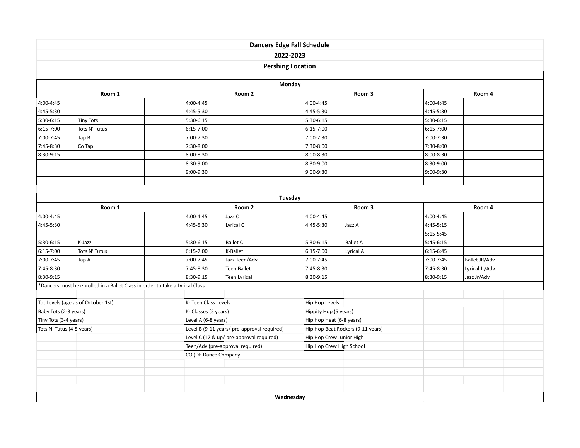## **Dancers Edge Fall Schedule 2022-2023**

## **Pershing Location**

|           |               |           |                 | Monday    |                 |           |        |  |  |
|-----------|---------------|-----------|-----------------|-----------|-----------------|-----------|--------|--|--|
| Room 1    |               |           | Room 2          |           | Room 3          |           | Room 4 |  |  |
| 4:00-4:45 |               | 4:00-4:45 |                 | 4:00-4:45 |                 | 4:00-4:45 |        |  |  |
| 4:45-5:30 |               | 4:45-5:30 |                 | 4:45-5:30 |                 | 4:45-5:30 |        |  |  |
| 5:30-6:15 | Tiny Tots     | 5:30-6:15 |                 | 5:30-6:15 |                 | 5:30-6:15 |        |  |  |
| 6:15-7:00 | Tots N' Tutus | 6:15-7:00 |                 | 6:15-7:00 |                 | 6:15-7:00 |        |  |  |
| 7:00-7:45 | Tap B         | 7:00-7:30 |                 | 7:00-7:30 |                 | 7:00-7:30 |        |  |  |
| 7:45-8:30 | Co Tap        | 7:30-8:00 |                 | 7:30-8:00 |                 | 7:30-8:00 |        |  |  |
| 8:30-9:15 |               | 8:00-8:30 |                 | 8:00-8:30 |                 | 8:00-8:30 |        |  |  |
|           |               | 8:30-9:00 |                 | 8:30-9:00 |                 | 8:30-9:00 |        |  |  |
|           |               | 9:00-9:30 |                 | 9:00-9:30 |                 | 9:00-9:30 |        |  |  |
|           |               |           |                 |           |                 |           |        |  |  |
|           |               |           |                 |           |                 |           |        |  |  |
|           |               |           |                 | Tuesday   |                 |           |        |  |  |
| Room 1    |               |           | Room 2          |           | Room 3          |           | Room 4 |  |  |
| 4:00-4:45 |               | 4:00-4:45 | Jazz C          | 4:00-4:45 |                 | 4:00-4:45 |        |  |  |
| 4:45-5:30 |               | 4:45-5:30 | Lyrical C       | 4:45-5:30 | Jazz A          | 4:45-5:15 |        |  |  |
|           |               |           |                 |           |                 | 5:15-5:45 |        |  |  |
| 5:30-6:15 | K-Jazz        | 5:30-6:15 | <b>Ballet C</b> | 5:30-6:15 | <b>Ballet A</b> | 5:45-6:15 |        |  |  |

| 5:30-6:15                          | K-Jazz                                                                       | 5:30-6:15            | Ballet C                                    | 5:30-6:15 | Ballet A                          | 5:45-6:15 |                 |  |
|------------------------------------|------------------------------------------------------------------------------|----------------------|---------------------------------------------|-----------|-----------------------------------|-----------|-----------------|--|
| 6:15-7:00                          | Tots N' Tutus                                                                | $6:15 - 7:00$        | K-Ballet                                    | 6:15-7:00 | Lyrical A                         | 6:15-6:45 |                 |  |
| 7:00-7:45                          | Tap A                                                                        | 7:00-7:45            | Jazz Teen/Adv.                              | 7:00-7:45 |                                   | 7:00-7:45 | Ballet JR/Adv.  |  |
| 7:45-8:30                          |                                                                              | 7:45-8:30            | Teen Ballet                                 | 7:45-8:30 |                                   | 7:45-8:30 | Lyrical Jr/Adv. |  |
| 8:30-9:15                          |                                                                              | 8:30-9:15            | Teen Lyrical                                | 8:30-9:15 |                                   | 8:30-9:15 | Jazz Jr/Adv     |  |
|                                    | *Dancers must be enrolled in a Ballet Class in order to take a Lyrical Class |                      |                                             |           |                                   |           |                 |  |
|                                    |                                                                              |                      |                                             |           |                                   |           |                 |  |
| Tot Levels (age as of October 1st) |                                                                              |                      | K- Teen Class Levels                        |           |                                   |           |                 |  |
| Baby Tots (2-3 years)              |                                                                              |                      | K- Classes (5 years)                        |           | Hippity Hop (5 years)             |           |                 |  |
| Tiny Tots (3-4 years)              |                                                                              |                      | Level A (6-8 years)                         |           | Hip Hop Heat (6-8 years)          |           |                 |  |
| Tots N' Tutus (4-5 years)          |                                                                              |                      | Level B (9-11 years/ pre-approval required) |           | Hip Hop Beat Rockers (9-11 years) |           |                 |  |
|                                    |                                                                              |                      | Level C (12 & up/ pre-approval required)    |           | Hip Hop Crew Junior High          |           |                 |  |
|                                    |                                                                              |                      | Teen/Adv (pre-approval required)            |           | Hip Hop Crew High School          |           |                 |  |
|                                    |                                                                              | CO (DE Dance Company |                                             |           |                                   |           |                 |  |
|                                    |                                                                              |                      |                                             |           |                                   |           |                 |  |
|                                    |                                                                              |                      |                                             |           |                                   |           |                 |  |
|                                    |                                                                              |                      |                                             |           |                                   |           |                 |  |
|                                    |                                                                              |                      |                                             |           |                                   |           |                 |  |

**Wednesday**